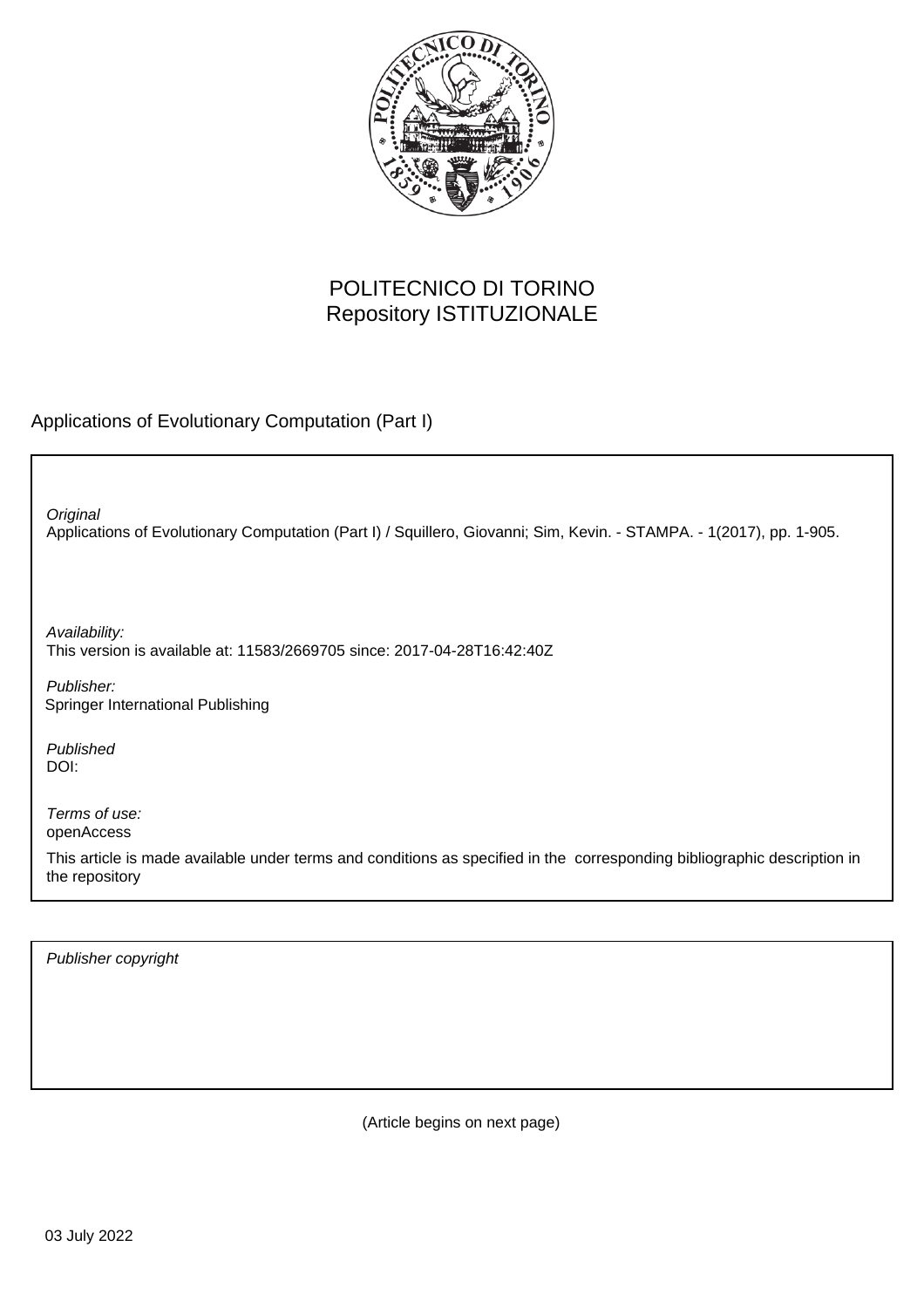

## POLITECNICO DI TORINO Repository ISTITUZIONALE

Applications of Evolutionary Computation (Part I)

Applications of Evolutionary Computation (Part I) / Squillero, Giovanni; Sim, Kevin. - STAMPA. - 1(2017), pp. 1-905. **Original** 

Availability: This version is available at: 11583/2669705 since: 2017-04-28T16:42:40Z

Publisher: Springer International Publishing

Published DOI:

Terms of use: openAccess

This article is made available under terms and conditions as specified in the corresponding bibliographic description in the repository

Publisher copyright

(Article begins on next page)